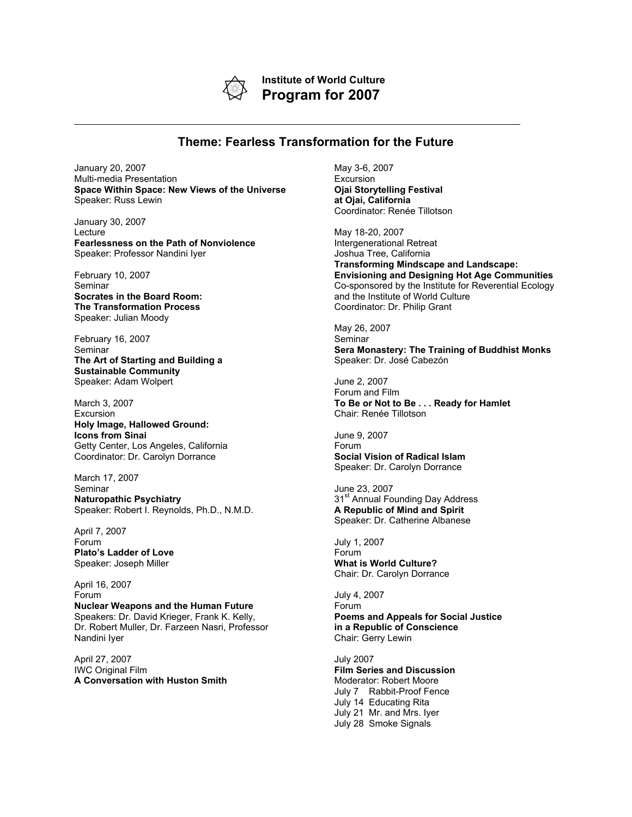

**Institute of World Culture Program for 2007**

## **Theme: Fearless Transformation for the Future**

January 20, 2007 Multi-media Presentation **Space Within Space: New Views of the Universe** Speaker: Russ Lewin

January 30, 2007 **Lecture Fearlessness on the Path of Nonviolence** Speaker: Professor Nandini Iyer

February 10, 2007 Seminar **Socrates in the Board Room: The Transformation Process** Speaker: Julian Moody

February 16, 2007 Seminar **The Art of Starting and Building a Sustainable Community** Speaker: Adam Wolpert

March 3, 2007 Excursion **Holy Image, Hallowed Ground: Icons from Sinai** Getty Center, Los Angeles, California Coordinator: Dr. Carolyn Dorrance

March 17, 2007 **Seminar Naturopathic Psychiatry** Speaker: Robert I. Reynolds, Ph.D., N.M.D.

April 7, 2007 Forum **Plato's Ladder of Love** Speaker: Joseph Miller

April 16, 2007 Forum **Nuclear Weapons and the Human Future** Speakers: Dr. David Krieger, Frank K. Kelly, Dr. Robert Muller, Dr. Farzeen Nasri, Professor Nandini Iyer

April 27, 2007 IWC Original Film **A Conversation with Huston Smith** May 3-6, 2007 **Excursion Ojai Storytelling Festival at Ojai, California** Coordinator: Renée Tillotson

May 18-20, 2007 Intergenerational Retreat Joshua Tree, California **Transforming Mindscape and Landscape: Envisioning and Designing Hot Age Communities** Co-sponsored by the Institute for Reverential Ecology and the Institute of World Culture Coordinator: Dr. Philip Grant

May 26, 2007 Seminar **Sera Monastery: The Training of Buddhist Monks** Speaker: Dr. José Cabezón

June 2, 2007 Forum and Film **To Be or Not to Be . . . Ready for Hamlet** Chair: Renée Tillotson

June 9, 2007 Forum **Social Vision of Radical Islam** Speaker: Dr. Carolyn Dorrance

June 23, 2007 31<sup>st</sup> Annual Founding Day Address **A Republic of Mind and Spirit** Speaker: Dr. Catherine Albanese

July 1, 2007 Forum **What is World Culture?** Chair: Dr. Carolyn Dorrance

July 4, 2007 Forum **Poems and Appeals for Social Justice in a Republic of Conscience** Chair: Gerry Lewin

July 2007 **Film Series and Discussion** Moderator: Robert Moore July 7 Rabbit-Proof Fence July 14 Educating Rita July 21 Mr. and Mrs. Iyer July 28 Smoke Signals